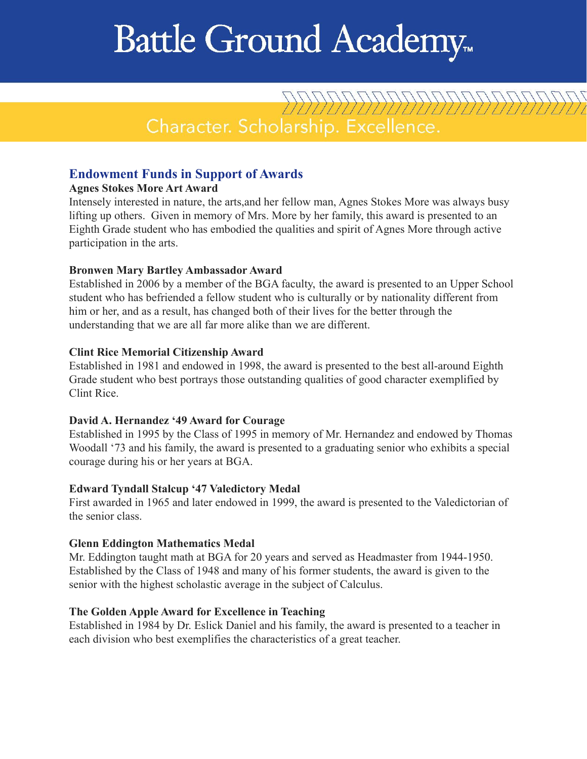# Battle Ground Academy.

Character. Scholarship. Excellence.

22222222222222222222222

# **Endowment Funds in Support of Awards**

#### **Agnes Stokes More Art Award**

Intensely interested in nature, the arts,and her fellow man, Agnes Stokes More was always busy lifting up others. Given in memory of Mrs. More by her family, this award is presented to an Eighth Grade student who has embodied the qualities and spirit of Agnes More through active participation in the arts.

#### **Bronwen Mary Bartley Ambassador Award**

Established in 2006 by a member of the BGA faculty, the award is presented to an Upper School student who has befriended a fellow student who is culturally or by nationality different from him or her, and as a result, has changed both of their lives for the better through the understanding that we are all far more alike than we are different.

#### **Clint Rice Memorial Citizenship Award**

Established in 1981 and endowed in 1998, the award is presented to the best all-around Eighth Grade student who best portrays those outstanding qualities of good character exemplified by Clint Rice.

#### **David A. Hernandez '49 Award for Courage**

Established in 1995 by the Class of 1995 in memory of Mr. Hernandez and endowed by Thomas Woodall '73 and his family, the award is presented to a graduating senior who exhibits a special courage during his or her years at BGA.

#### **Edward Tyndall Stalcup '47 Valedictory Medal**

First awarded in 1965 and later endowed in 1999, the award is presented to the Valedictorian of the senior class.

#### **Glenn Eddington Mathematics Medal**

Mr. Eddington taught math at BGA for 20 years and served as Headmaster from 1944-1950. Established by the Class of 1948 and many of his former students, the award is given to the senior with the highest scholastic average in the subject of Calculus.

#### **The Golden Apple Award for Excellence in Teaching**

Established in 1984 by Dr. Eslick Daniel and his family, the award is presented to a teacher in each division who best exemplifies the characteristics of a great teacher.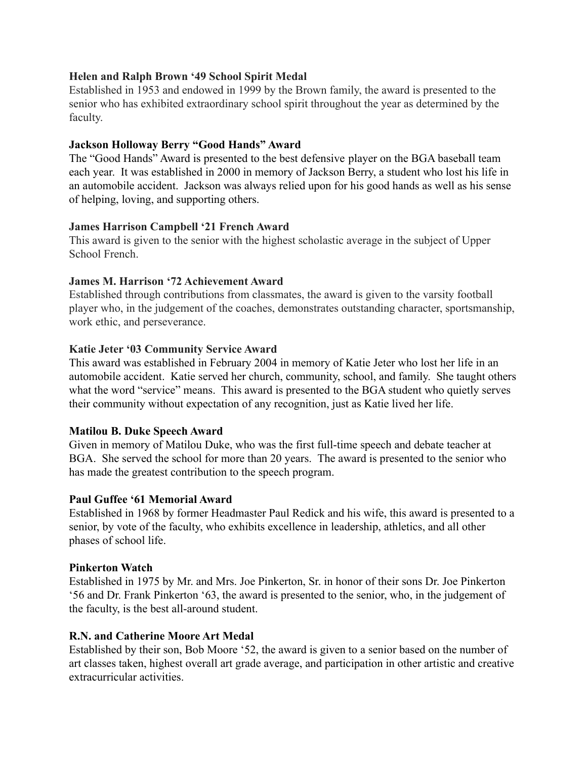## **Helen and Ralph Brown '49 School Spirit Medal**

Established in 1953 and endowed in 1999 by the Brown family, the award is presented to the senior who has exhibited extraordinary school spirit throughout the year as determined by the faculty.

## **Jackson Holloway Berry "Good Hands" Award**

The "Good Hands" Award is presented to the best defensive player on the BGA baseball team each year. It was established in 2000 in memory of Jackson Berry, a student who lost his life in an automobile accident. Jackson was always relied upon for his good hands as well as his sense of helping, loving, and supporting others.

#### **James Harrison Campbell '21 French Award**

This award is given to the senior with the highest scholastic average in the subject of Upper School French.

## **James M. Harrison '72 Achievement Award**

Established through contributions from classmates, the award is given to the varsity football player who, in the judgement of the coaches, demonstrates outstanding character, sportsmanship, work ethic, and perseverance.

## **Katie Jeter '03 Community Service Award**

This award was established in February 2004 in memory of Katie Jeter who lost her life in an automobile accident. Katie served her church, community, school, and family. She taught others what the word "service" means. This award is presented to the BGA student who quietly serves their community without expectation of any recognition, just as Katie lived her life.

## **Matilou B. Duke Speech Award**

Given in memory of Matilou Duke, who was the first full-time speech and debate teacher at BGA. She served the school for more than 20 years. The award is presented to the senior who has made the greatest contribution to the speech program.

#### **Paul Guffee '61 Memorial Award**

Established in 1968 by former Headmaster Paul Redick and his wife, this award is presented to a senior, by vote of the faculty, who exhibits excellence in leadership, athletics, and all other phases of school life.

#### **Pinkerton Watch**

Established in 1975 by Mr. and Mrs. Joe Pinkerton, Sr. in honor of their sons Dr. Joe Pinkerton '56 and Dr. Frank Pinkerton '63, the award is presented to the senior, who, in the judgement of the faculty, is the best all-around student.

#### **R.N. and Catherine Moore Art Medal**

Established by their son, Bob Moore '52, the award is given to a senior based on the number of art classes taken, highest overall art grade average, and participation in other artistic and creative extracurricular activities.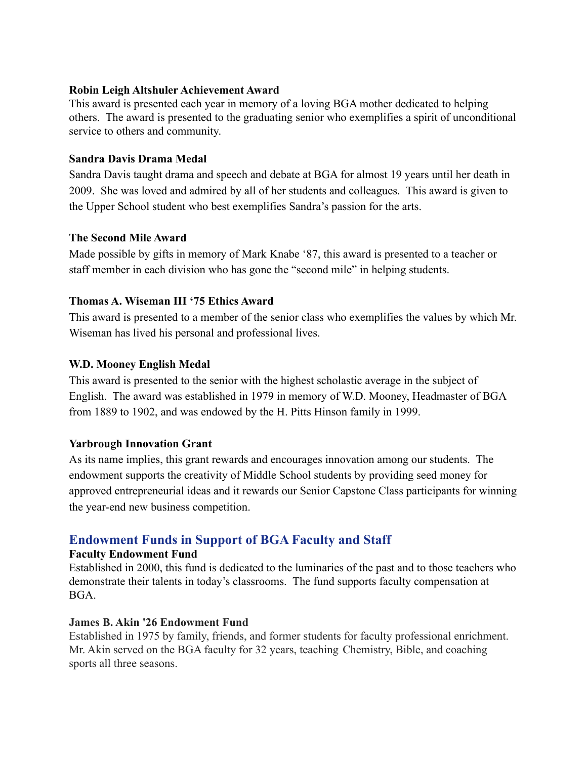## **Robin Leigh Altshuler Achievement Award**

This award is presented each year in memory of a loving BGA mother dedicated to helping others. The award is presented to the graduating senior who exemplifies a spirit of unconditional service to others and community.

## **Sandra Davis Drama Medal**

Sandra Davis taught drama and speech and debate at BGA for almost 19 years until her death in 2009. She was loved and admired by all of her students and colleagues. This award is given to the Upper School student who best exemplifies Sandra's passion for the arts.

## **The Second Mile Award**

Made possible by gifts in memory of Mark Knabe '87, this award is presented to a teacher or staff member in each division who has gone the "second mile" in helping students.

## **Thomas A. Wiseman III '75 Ethics Award**

This award is presented to a member of the senior class who exemplifies the values by which Mr. Wiseman has lived his personal and professional lives.

## **W.D. Mooney English Medal**

This award is presented to the senior with the highest scholastic average in the subject of English. The award was established in 1979 in memory of W.D. Mooney, Headmaster of BGA from 1889 to 1902, and was endowed by the H. Pitts Hinson family in 1999.

## **Yarbrough Innovation Grant**

As its name implies, this grant rewards and encourages innovation among our students. The endowment supports the creativity of Middle School students by providing seed money for approved entrepreneurial ideas and it rewards our Senior Capstone Class participants for winning the year-end new business competition.

# **Endowment Funds in Support of BGA Faculty and Staff**

## **Faculty Endowment Fund**

Established in 2000, this fund is dedicated to the luminaries of the past and to those teachers who demonstrate their talents in today's classrooms. The fund supports faculty compensation at BGA.

## **James B. Akin '26 Endowment Fund**

Established in 1975 by family, friends, and former students for faculty professional enrichment. Mr. Akin served on the BGA faculty for 32 years, teaching Chemistry, Bible, and coaching sports all three seasons.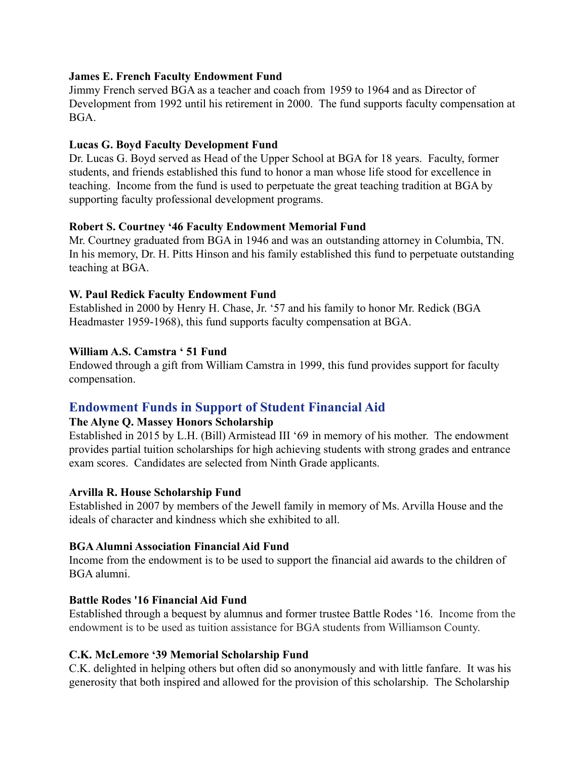## **James E. French Faculty Endowment Fund**

Jimmy French served BGA as a teacher and coach from 1959 to 1964 and as Director of Development from 1992 until his retirement in 2000. The fund supports faculty compensation at BGA.

## **Lucas G. Boyd Faculty Development Fund**

Dr. Lucas G. Boyd served as Head of the Upper School at BGA for 18 years. Faculty, former students, and friends established this fund to honor a man whose life stood for excellence in teaching. Income from the fund is used to perpetuate the great teaching tradition at BGA by supporting faculty professional development programs.

## **Robert S. Courtney '46 Faculty Endowment Memorial Fund**

Mr. Courtney graduated from BGA in 1946 and was an outstanding attorney in Columbia, TN. In his memory, Dr. H. Pitts Hinson and his family established this fund to perpetuate outstanding teaching at BGA.

## **W. Paul Redick Faculty Endowment Fund**

Established in 2000 by Henry H. Chase, Jr. '57 and his family to honor Mr. Redick (BGA Headmaster 1959-1968), this fund supports faculty compensation at BGA.

## **William A.S. Camstra ' 51 Fund**

Endowed through a gift from William Camstra in 1999, this fund provides support for faculty compensation.

# **Endowment Funds in Support of Student Financial Aid**

## **The Alyne Q. Massey Honors Scholarship**

Established in 2015 by L.H. (Bill) Armistead III '69 in memory of his mother. The endowment provides partial tuition scholarships for high achieving students with strong grades and entrance exam scores. Candidates are selected from Ninth Grade applicants.

## **Arvilla R. House Scholarship Fund**

Established in 2007 by members of the Jewell family in memory of Ms. Arvilla House and the ideals of character and kindness which she exhibited to all.

## **BGAAlumni Association Financial Aid Fund**

Income from the endowment is to be used to support the financial aid awards to the children of BGA alumni.

## **Battle Rodes '16 Financial Aid Fund**

Established through a bequest by alumnus and former trustee Battle Rodes '16. Income from the endowment is to be used as tuition assistance for BGA students from Williamson County.

## **C.K. McLemore '39 Memorial Scholarship Fund**

C.K. delighted in helping others but often did so anonymously and with little fanfare. It was his generosity that both inspired and allowed for the provision of this scholarship. The Scholarship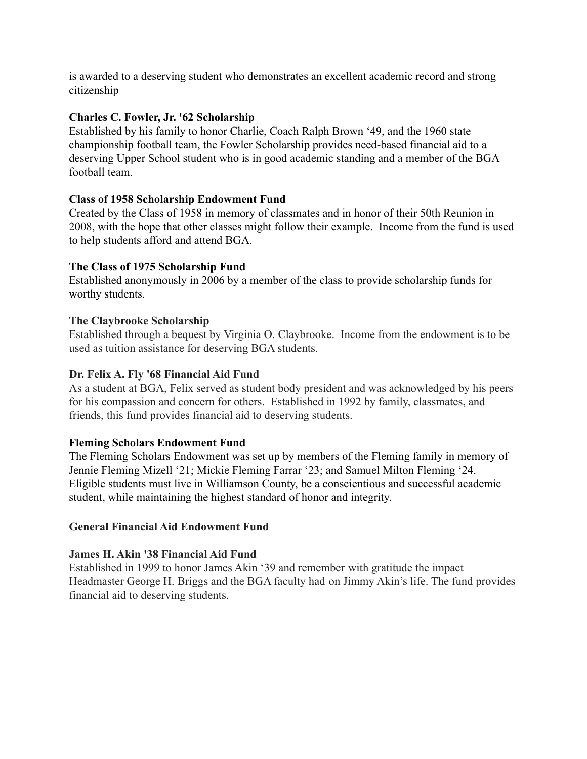is awarded to a deserving student who demonstrates an excellent academic record and strong citizenship

## **Charles C. Fowler, Jr. '62 Scholarship**

Established by his family to honor Charlie, Coach Ralph Brown '49, and the 1960 state championship football team, the Fowler Scholarship provides need-based financial aid to a deserving Upper School student who is in good academic standing and a member of the BGA football team.

## **Class of 1958 Scholarship Endowment Fund**

Created by the Class of 1958 in memory of classmates and in honor of their 50th Reunion in 2008, with the hope that other classes might follow their example. Income from the fund is used to help students afford and attend BGA.

## **The Class of 1975 Scholarship Fund**

Established anonymously in 2006 by a member of the class to provide scholarship funds for worthy students.

## **The Claybrooke Scholarship**

Established through a bequest by Virginia O. Claybrooke. Income from the endowment is to be used as tuition assistance for deserving BGA students.

## **Dr. Felix A. Fly '68 Financial Aid Fund**

As a student at BGA, Felix served as student body president and was acknowledged by his peers for his compassion and concern for others. Established in 1992 by family, classmates, and friends, this fund provides financial aid to deserving students.

## **Fleming Scholars Endowment Fund**

The Fleming Scholars Endowment was set up by members of the Fleming family in memory of Jennie Fleming Mizell '21; Mickie Fleming Farrar '23; and Samuel Milton Fleming '24. Eligible students must live in Williamson County, be a conscientious and successful academic student, while maintaining the highest standard of honor and integrity.

## **General Financial Aid Endowment Fund**

## **James H. Akin '38 Financial Aid Fund**

Established in 1999 to honor James Akin '39 and remember with gratitude the impact Headmaster George H. Briggs and the BGA faculty had on Jimmy Akin's life. The fund provides financial aid to deserving students.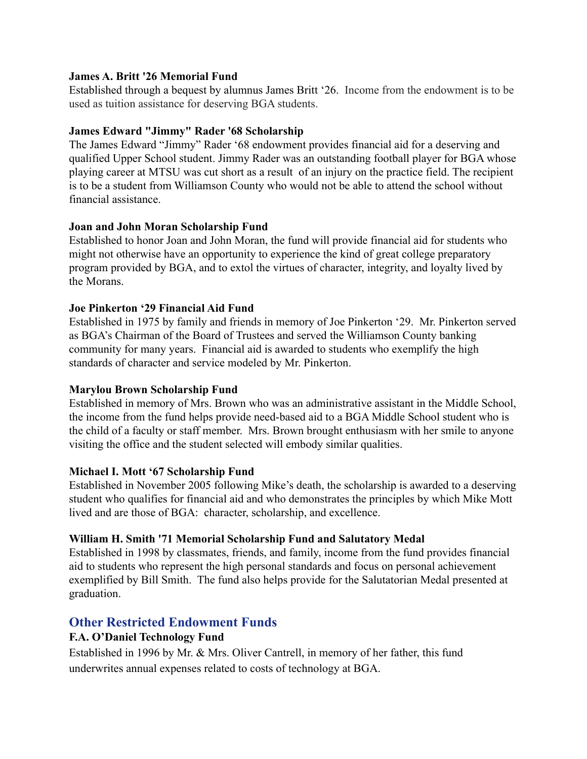## **James A. Britt '26 Memorial Fund**

Established through a bequest by alumnus James Britt '26. Income from the endowment is to be used as tuition assistance for deserving BGA students.

## **James Edward "Jimmy" Rader '68 Scholarship**

The James Edward "Jimmy" Rader '68 endowment provides financial aid for a deserving and qualified Upper School student. Jimmy Rader was an outstanding football player for BGA whose playing career at MTSU was cut short as a result of an injury on the practice field. The recipient is to be a student from Williamson County who would not be able to attend the school without financial assistance.

## **Joan and John Moran Scholarship Fund**

Established to honor Joan and John Moran, the fund will provide financial aid for students who might not otherwise have an opportunity to experience the kind of great college preparatory program provided by BGA, and to extol the virtues of character, integrity, and loyalty lived by the Morans.

## **Joe Pinkerton '29 Financial Aid Fund**

Established in 1975 by family and friends in memory of Joe Pinkerton '29. Mr. Pinkerton served as BGA's Chairman of the Board of Trustees and served the Williamson County banking community for many years. Financial aid is awarded to students who exemplify the high standards of character and service modeled by Mr. Pinkerton.

## **Marylou Brown Scholarship Fund**

Established in memory of Mrs. Brown who was an administrative assistant in the Middle School, the income from the fund helps provide need-based aid to a BGA Middle School student who is the child of a faculty or staff member. Mrs. Brown brought enthusiasm with her smile to anyone visiting the office and the student selected will embody similar qualities.

## **Michael I. Mott '67 Scholarship Fund**

Established in November 2005 following Mike's death, the scholarship is awarded to a deserving student who qualifies for financial aid and who demonstrates the principles by which Mike Mott lived and are those of BGA: character, scholarship, and excellence.

## **William H. Smith '71 Memorial Scholarship Fund and Salutatory Medal**

Established in 1998 by classmates, friends, and family, income from the fund provides financial aid to students who represent the high personal standards and focus on personal achievement exemplified by Bill Smith. The fund also helps provide for the Salutatorian Medal presented at graduation.

# **Other Restricted Endowment Funds**

# **F.A. O'Daniel Technology Fund**

Established in 1996 by Mr. & Mrs. Oliver Cantrell, in memory of her father, this fund underwrites annual expenses related to costs of technology at BGA.